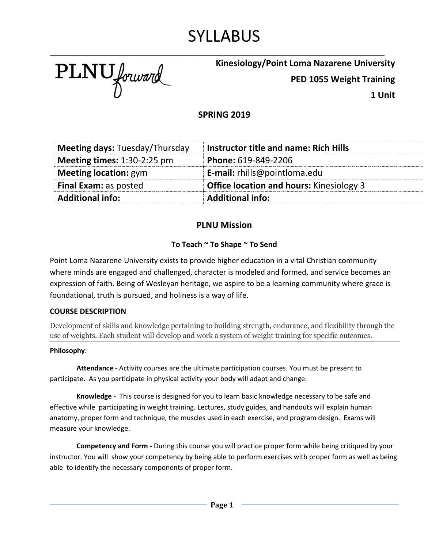# SYLLABUS

\_\_\_\_\_\_\_\_\_\_\_\_\_\_\_\_\_\_\_\_\_\_\_\_\_\_\_\_\_\_\_\_\_\_\_\_\_\_\_\_\_\_\_\_\_\_\_\_\_\_\_\_\_\_\_\_\_\_\_\_\_\_\_\_\_\_\_\_\_\_\_\_\_\_\_\_\_\_\_\_\_

PLNU forward

## **Kinesiology/Point Loma Nazarene University**

**PED 1055 Weight Training**

**1 Unit**

## **SPRING 2019**

| <b>Meeting days: Tuesday/Thursday</b> | Instructor title and name: Rich Hills           |
|---------------------------------------|-------------------------------------------------|
| <b>Meeting times:</b> $1:30-2:25$ pm  | Phone: 619-849-2206                             |
| <b>Meeting location: gym</b>          | <b>E-mail:</b> rhills@pointloma.edu             |
| <b>Final Exam: as posted</b>          | <b>Office location and hours:</b> Kinesiology 3 |
| <b>Additional info:</b>               | <b>Additional info:</b>                         |

## **PLNU Mission**

### **To Teach ~ To Shape ~ To Send**

Point Loma Nazarene University exists to provide higher education in a vital Christian community where minds are engaged and challenged, character is modeled and formed, and service becomes an expression of faith. Being of Wesleyan heritage, we aspire to be a learning community where grace is foundational, truth is pursued, and holiness is a way of life.

### **COURSE DESCRIPTION**

Development of skills and knowledge pertaining to building strength, endurance, and flexibility through the use of weights. Each student will develop and work a system of weight training for specific outcomes.

### **Philosophy**:

**Attendance** - Activity courses are the ultimate participation courses. You must be present to participate. As you participate in physical activity your body will adapt and change.

**Knowledge -** This course is designed for you to learn basic knowledge necessary to be safe and effective while participating in weight training. Lectures, study guides, and handouts will explain human anatomy, proper form and technique, the muscles used in each exercise, and program design. Exams will measure your knowledge.

**Competency and Form -** During this course you will practice proper form while being critiqued by your instructor. You will show your competency by being able to perform exercises with proper form as well as being able to identify the necessary components of proper form.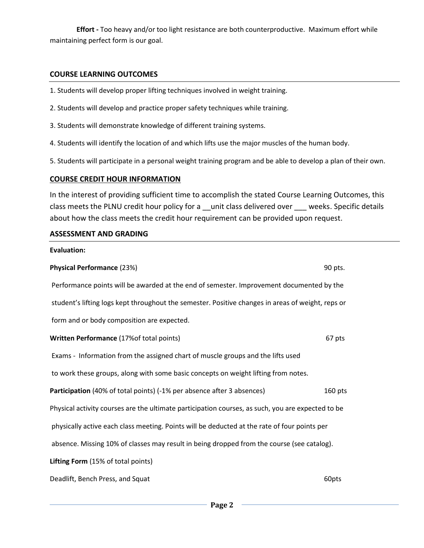**Effort -** Too heavy and/or too light resistance are both counterproductive. Maximum effort while maintaining perfect form is our goal.

### **COURSE LEARNING OUTCOMES**

- 1. Students will develop proper lifting techniques involved in weight training.
- 2. Students will develop and practice proper safety techniques while training.
- 3. Students will demonstrate knowledge of different training systems.
- 4. Students will identify the location of and which lifts use the major muscles of the human body.
- 5. Students will participate in a personal weight training program and be able to develop a plan of their own.

### **COURSE CREDIT HOUR INFORMATION**

In the interest of providing sufficient time to accomplish the stated Course Learning Outcomes, this class meets the PLNU credit hour policy for a \_\_unit class delivered over \_\_\_\_ weeks. Specific details about how the class meets the credit hour requirement can be provided upon request.

#### **ASSESSMENT AND GRADING**

# **Evaluation: Physical Performance** (23%) 80 pts. Performance points will be awarded at the end of semester. Improvement documented by the student's lifting logs kept throughout the semester. Positive changes in areas of weight, reps or form and or body composition are expected. **Written Performance** (17%of total points) 67 pts Exams - Information from the assigned chart of muscle groups and the lifts used to work these groups, along with some basic concepts on weight lifting from notes. **Participation** (40% of total points) (-1% per absence after 3 absences) 160 pts Physical activity courses are the ultimate participation courses, as such, you are expected to be physically active each class meeting. Points will be deducted at the rate of four points per absence. Missing 10% of classes may result in being dropped from the course (see catalog). **Lifting Form** (15% of total points) Deadlift, Bench Press, and Squat 60pts and  $\overline{a}$  60pts 60pts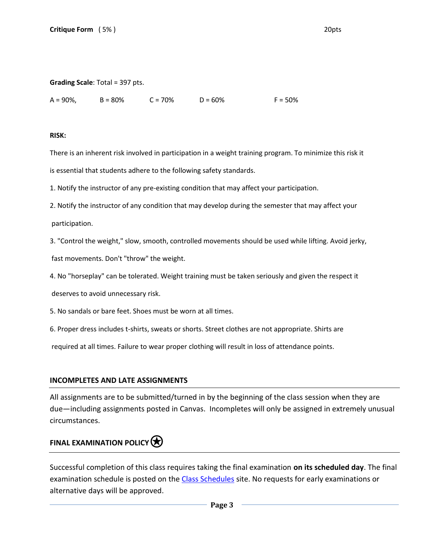### **Grading Scale**: Total = 397 pts.

A = 90%, B = 80% C = 70% D = 60% F = 50%

#### **RISK:**

There is an inherent risk involved in participation in a weight training program. To minimize this risk it is essential that students adhere to the following safety standards.

1. Notify the instructor of any pre-existing condition that may affect your participation.

2. Notify the instructor of any condition that may develop during the semester that may affect your participation.

3. "Control the weight," slow, smooth, controlled movements should be used while lifting. Avoid jerky,

fast movements. Don't "throw" the weight.

4. No "horseplay" can be tolerated. Weight training must be taken seriously and given the respect it

deserves to avoid unnecessary risk.

5. No sandals or bare feet. Shoes must be worn at all times.

6. Proper dress includes t-shirts, sweats or shorts. Street clothes are not appropriate. Shirts are

required at all times. Failure to wear proper clothing will result in loss of attendance points.

### **INCOMPLETES AND LATE ASSIGNMENTS**

All assignments are to be submitted/turned in by the beginning of the class session when they are due—including assignments posted in Canvas. Incompletes will only be assigned in extremely unusual circumstances.

## **FINAL EXAMINATION POLICY**

Successful completion of this class requires taking the final examination **on its scheduled day**. The final examination schedule is posted on the [Class Schedules](http://www.pointloma.edu/experience/academics/class-schedules) site. No requests for early examinations or alternative days will be approved.